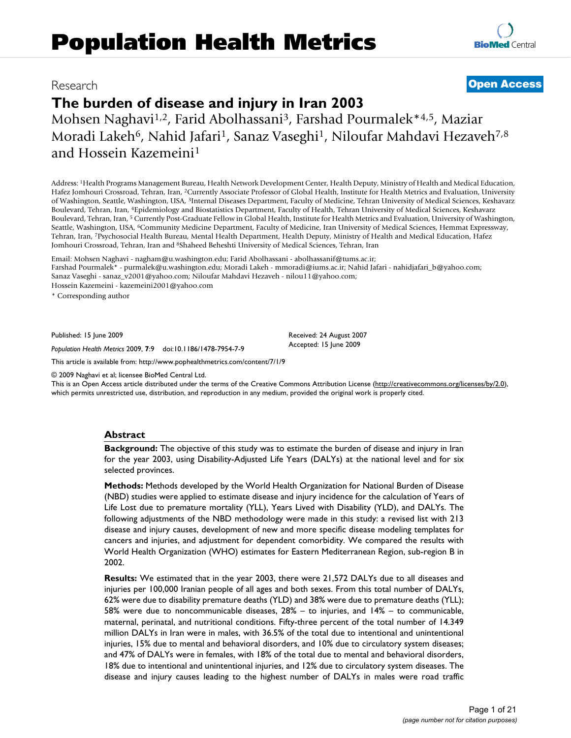# **Population Health Metrics**

### Research **[Open Access](http://www.biomedcentral.com/info/about/charter/)**

## **The burden of disease and injury in Iran 2003**

Mohsen Naghavi1,2, Farid Abolhassani3, Farshad Pourmalek\*4,5, Maziar Moradi Lakeh<sup>6</sup>, Nahid Jafari<sup>1</sup>, Sanaz Vaseghi<sup>1</sup>, Niloufar Mahdavi Hezaveh<sup>7,8</sup> and Hossein Kazemeini1

Address: 1Health Programs Management Bureau, Health Network Development Center, Health Deputy, Ministry of Health and Medical Education, Hafez Jomhouri Crossroad, Tehran, Iran, 2Currently Associate Professor of Global Health, Institute for Health Metrics and Evaluation, University of Washington, Seattle, Washington, USA, 3Internal Diseases Department, Faculty of Medicine, Tehran University of Medical Sciences, Keshavarz Boulevard, Tehran, Iran, 4Epidemiology and Biostatistics Department, Faculty of Health, Tehran University of Medical Sciences, Keshavarz Boulevard, Tehran, Iran, 5 Currently Post-Graduate Fellow in Global Health, Institute for Health Metrics and Evaluation, University of Washington, Seattle, Washington, USA, 6Community Medicine Department, Faculty of Medicine, Iran University of Medical Sciences, Hemmat Expressway, Tehran, Iran, 7Psychosocial Health Bureau, Mental Health Department, Health Deputy, Ministry of Health and Medical Education, Hafez Jomhouri Crossroad, Tehran, Iran and 8Shaheed Beheshti University of Medical Sciences, Tehran, Iran

Email: Mohsen Naghavi - nagham@u.washington.edu; Farid Abolhassani - abolhassanif@tums.ac.ir; Farshad Pourmalek\* - purmalek@u.washington.edu; Moradi Lakeh - mmoradi@iums.ac.ir; Nahid Jafari - nahidjafari b@yahoo.com; Sanaz Vaseghi - sanaz\_v2001@yahoo.com; Niloufar Mahdavi Hezaveh - nilou11@yahoo.com; Hossein Kazemeini - kazemeini2001@yahoo.com

\* Corresponding author

Published: 15 June 2009

*Population Health Metrics* 2009, **7**:9 doi:10.1186/1478-7954-7-9

[This article is available from: http://www.pophealthmetrics.com/content/7/1/9](http://www.pophealthmetrics.com/content/7/1/9)

© 2009 Naghavi et al; licensee BioMed Central Ltd.

This is an Open Access article distributed under the terms of the Creative Commons Attribution License [\(http://creativecommons.org/licenses/by/2.0\)](http://creativecommons.org/licenses/by/2.0), which permits unrestricted use, distribution, and reproduction in any medium, provided the original work is properly cited.

Received: 24 August 2007 Accepted: 15 June 2009

#### **Abstract**

**Background:** The objective of this study was to estimate the burden of disease and injury in Iran for the year 2003, using Disability-Adjusted Life Years (DALYs) at the national level and for six selected provinces.

**Methods:** Methods developed by the World Health Organization for National Burden of Disease (NBD) studies were applied to estimate disease and injury incidence for the calculation of Years of Life Lost due to premature mortality (YLL), Years Lived with Disability (YLD), and DALYs. The following adjustments of the NBD methodology were made in this study: a revised list with 213 disease and injury causes, development of new and more specific disease modeling templates for cancers and injuries, and adjustment for dependent comorbidity. We compared the results with World Health Organization (WHO) estimates for Eastern Mediterranean Region, sub-region B in 2002.

**Results:** We estimated that in the year 2003, there were 21,572 DALYs due to all diseases and injuries per 100,000 Iranian people of all ages and both sexes. From this total number of DALYs, 62% were due to disability premature deaths (YLD) and 38% were due to premature deaths (YLL); 58% were due to noncommunicable diseases, 28% – to injuries, and 14% – to communicable, maternal, perinatal, and nutritional conditions. Fifty-three percent of the total number of 14.349 million DALYs in Iran were in males, with 36.5% of the total due to intentional and unintentional injuries, 15% due to mental and behavioral disorders, and 10% due to circulatory system diseases; and 47% of DALYs were in females, with 18% of the total due to mental and behavioral disorders, 18% due to intentional and unintentional injuries, and 12% due to circulatory system diseases. The disease and injury causes leading to the highest number of DALYs in males were road traffic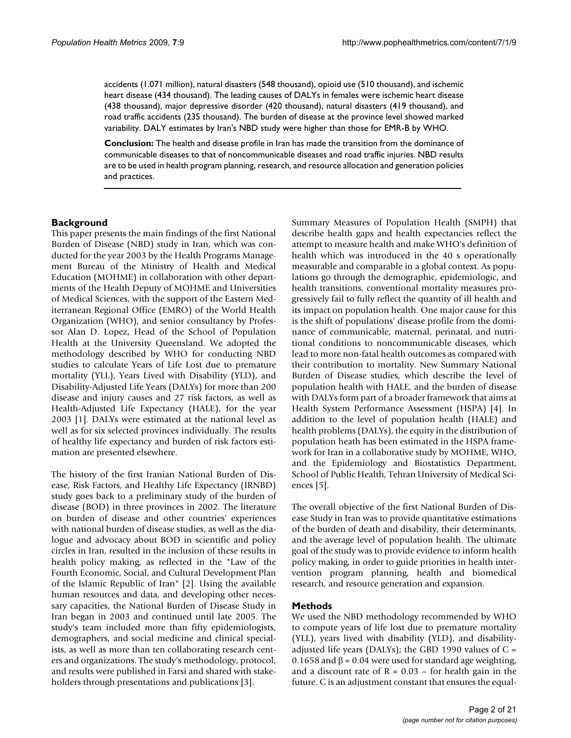accidents (1.071 million), natural disasters (548 thousand), opioid use (510 thousand), and ischemic heart disease (434 thousand). The leading causes of DALYs in females were ischemic heart disease (438 thousand), major depressive disorder (420 thousand), natural disasters (419 thousand), and road traffic accidents (235 thousand). The burden of disease at the province level showed marked variability. DALY estimates by Iran's NBD study were higher than those for EMR-B by WHO.

**Conclusion:** The health and disease profile in Iran has made the transition from the dominance of communicable diseases to that of noncommunicable diseases and road traffic injuries. NBD results are to be used in health program planning, research, and resource allocation and generation policies and practices.

#### **Background**

This paper presents the main findings of the first National Burden of Disease (NBD) study in Iran, which was conducted for the year 2003 by the Health Programs Management Bureau of the Ministry of Health and Medical Education (MOHME) in collaboration with other departments of the Health Deputy of MOHME and Universities of Medical Sciences, with the support of the Eastern Mediterranean Regional Office (EMRO) of the World Health Organization (WHO), and senior consultancy by Professor Alan D. Lopez, Head of the School of Population Health at the University Queensland. We adopted the methodology described by WHO for conducting NBD studies to calculate Years of Life Lost due to premature mortality (YLL), Years Lived with Disability (YLD), and Disability-Adjusted Life Years (DALYs) for more than 200 disease and injury causes and 27 risk factors, as well as Health-Adjusted Life Expectancy (HALE), for the year 2003 [1]. DALYs were estimated at the national level as well as for six selected provinces individually. The results of healthy life expectancy and burden of risk factors estimation are presented elsewhere.

The history of the first Iranian National Burden of Disease, Risk Factors, and Healthy Life Expectancy (IRNBD) study goes back to a preliminary study of the burden of disease (BOD) in three provinces in 2002. The literature on burden of disease and other countries' experiences with national burden of disease studies, as well as the dialogue and advocacy about BOD in scientific and policy circles in Iran, resulted in the inclusion of these results in health policy making, as reflected in the "Law of the Fourth Economic, Social, and Cultural Development Plan of the Islamic Republic of Iran" [2]. Using the available human resources and data, and developing other necessary capacities, the National Burden of Disease Study in Iran began in 2003 and continued until late 2005. The study's team included more than fifty epidemiologists, demographers, and social medicine and clinical specialists, as well as more than ten collaborating research centers and organizations. The study's methodology, protocol, and results were published in Farsi and shared with stakeholders through presentations and publications [3].

Summary Measures of Population Health (SMPH) that describe health gaps and health expectancies reflect the attempt to measure health and make WHO's definition of health which was introduced in the 40 s operationally measurable and comparable in a global context. As populations go through the demographic, epidemiologic, and health transitions, conventional mortality measures progressively fail to fully reflect the quantity of ill health and its impact on population health. One major cause for this is the shift of populations' disease profile from the dominance of communicable, maternal, perinatal, and nutritional conditions to noncommunicable diseases, which lead to more non-fatal health outcomes as compared with their contribution to mortality. New Summary National Burden of Disease studies, which describe the level of population health with HALE, and the burden of disease with DALYs form part of a broader framework that aims at Health System Performance Assessment (HSPA) [4]. In addition to the level of population health (HALE) and health problems (DALYs), the equity in the distribution of population heath has been estimated in the HSPA framework for Iran in a collaborative study by MOHME, WHO, and the Epidemiology and Biostatistics Department, School of Public Health, Tehran University of Medical Sciences [5].

The overall objective of the first National Burden of Disease Study in Iran was to provide quantitative estimations of the burden of death and disability, their determinants, and the average level of population health. The ultimate goal of the study was to provide evidence to inform health policy making, in order to guide priorities in health intervention program planning, health and biomedical research, and resource generation and expansion.

#### **Methods**

We used the NBD methodology recommended by WHO to compute years of life lost due to premature mortality (YLL), years lived with disability (YLD), and disabilityadjusted life years (DALYs); the GBD 1990 values of  $C =$ 0.1658 and  $\beta$  = 0.04 were used for standard age weighting, and a discount rate of  $R = 0.03$  – for health gain in the future. C is an adjustment constant that ensures the equal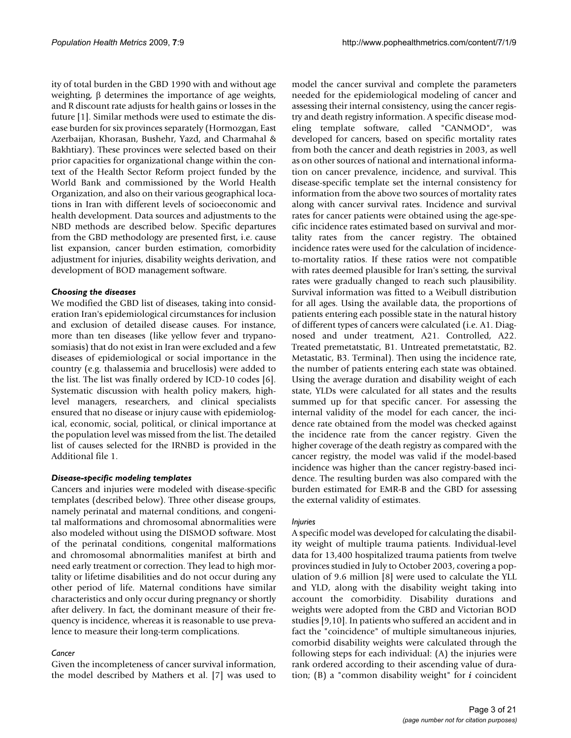ity of total burden in the GBD 1990 with and without age weighting,  $\beta$  determines the importance of age weights, and R discount rate adjusts for health gains or losses in the future [1]. Similar methods were used to estimate the disease burden for six provinces separately (Hormozgan, East Azerbaijan, Khorasan, Bushehr, Yazd, and Charmahal & Bakhtiary). These provinces were selected based on their prior capacities for organizational change within the context of the Health Sector Reform project funded by the World Bank and commissioned by the World Health Organization, and also on their various geographical locations in Iran with different levels of socioeconomic and health development. Data sources and adjustments to the NBD methods are described below. Specific departures from the GBD methodology are presented first, i.e. cause list expansion, cancer burden estimation, comorbidity adjustment for injuries, disability weights derivation, and development of BOD management software.

#### *Choosing the diseases*

We modified the GBD list of diseases, taking into consideration Iran's epidemiological circumstances for inclusion and exclusion of detailed disease causes. For instance, more than ten diseases (like yellow fever and trypanosomiasis) that do not exist in Iran were excluded and a few diseases of epidemiological or social importance in the country (e.g. thalassemia and brucellosis) were added to the list. The list was finally ordered by ICD-10 codes [6]. Systematic discussion with health policy makers, highlevel managers, researchers, and clinical specialists ensured that no disease or injury cause with epidemiological, economic, social, political, or clinical importance at the population level was missed from the list. The detailed list of causes selected for the IRNBD is provided in the Additional file 1.

#### *Disease-specific modeling templates*

Cancers and injuries were modeled with disease-specific templates (described below). Three other disease groups, namely perinatal and maternal conditions, and congenital malformations and chromosomal abnormalities were also modeled without using the DISMOD software. Most of the perinatal conditions, congenital malformations and chromosomal abnormalities manifest at birth and need early treatment or correction. They lead to high mortality or lifetime disabilities and do not occur during any other period of life. Maternal conditions have similar characteristics and only occur during pregnancy or shortly after delivery. In fact, the dominant measure of their frequency is incidence, whereas it is reasonable to use prevalence to measure their long-term complications.

#### *Cancer*

Given the incompleteness of cancer survival information, the model described by Mathers et al. [7] was used to model the cancer survival and complete the parameters needed for the epidemiological modeling of cancer and assessing their internal consistency, using the cancer registry and death registry information. A specific disease modeling template software, called "CANMOD", was developed for cancers, based on specific mortality rates from both the cancer and death registries in 2003, as well as on other sources of national and international information on cancer prevalence, incidence, and survival. This disease-specific template set the internal consistency for information from the above two sources of mortality rates along with cancer survival rates. Incidence and survival rates for cancer patients were obtained using the age-specific incidence rates estimated based on survival and mortality rates from the cancer registry. The obtained incidence rates were used for the calculation of incidenceto-mortality ratios. If these ratios were not compatible with rates deemed plausible for Iran's setting, the survival rates were gradually changed to reach such plausibility. Survival information was fitted to a Weibull distribution for all ages. Using the available data, the proportions of patients entering each possible state in the natural history of different types of cancers were calculated (i.e. A1. Diagnosed and under treatment, A21. Controlled, A22. Treated premetatstatic, B1. Untreated premetatstatic, B2. Metastatic, B3. Terminal). Then using the incidence rate, the number of patients entering each state was obtained. Using the average duration and disability weight of each state, YLDs were calculated for all states and the results summed up for that specific cancer. For assessing the internal validity of the model for each cancer, the incidence rate obtained from the model was checked against the incidence rate from the cancer registry. Given the higher coverage of the death registry as compared with the cancer registry, the model was valid if the model-based incidence was higher than the cancer registry-based incidence. The resulting burden was also compared with the burden estimated for EMR-B and the GBD for assessing the external validity of estimates.

#### *Injuries*

A specific model was developed for calculating the disability weight of multiple trauma patients. Individual-level data for 13,400 hospitalized trauma patients from twelve provinces studied in July to October 2003, covering a population of 9.6 million [8] were used to calculate the YLL and YLD, along with the disability weight taking into account the comorbidity. Disability durations and weights were adopted from the GBD and Victorian BOD studies [9,10]. In patients who suffered an accident and in fact the "coincidence" of multiple simultaneous injuries, comorbid disability weights were calculated through the following steps for each individual: (A) the injuries were rank ordered according to their ascending value of duration; (B) a "common disability weight" for *i* coincident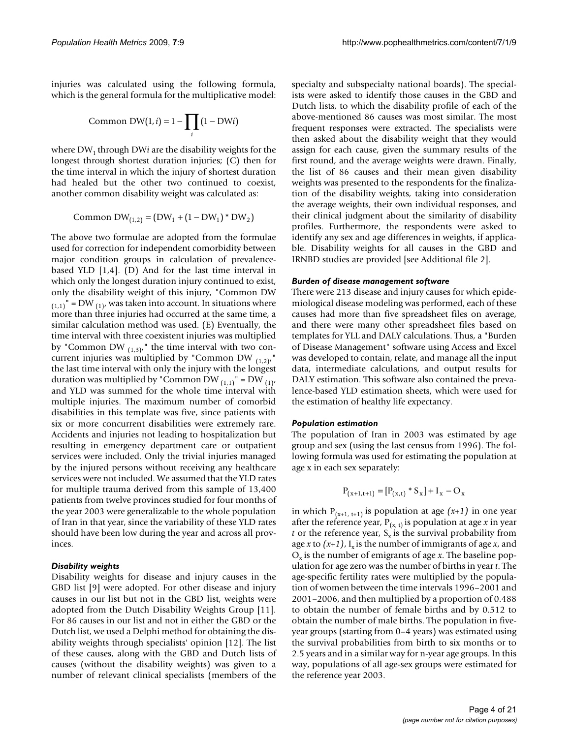injuries was calculated using the following formula, which is the general formula for the multiplicative model:

Common DW(1, *i*) = 
$$
1 - \prod_i (1 - DW_i)
$$

where DW<sub>1</sub> through DWi are the disability weights for the longest through shortest duration injuries; (C) then for the time interval in which the injury of shortest duration had healed but the other two continued to coexist, another common disability weight was calculated as:

Common DW DW DW DW (,) ( ( )\* ) 12 1 1 2 = +− 1

The above two formulae are adopted from the formulae used for correction for independent comorbidity between major condition groups in calculation of prevalencebased YLD [1,4]. (D) And for the last time interval in which only the longest duration injury continued to exist, only the disability weight of this injury, "Common DW  $_{(1,1)}$ " = DW  $_{(1)}$ , was taken into account. In situations where more than three injuries had occurred at the same time, a similar calculation method was used. (E) Eventually, the time interval with three coexistent injuries was multiplied by "Common DW  $_{(1,3)}$ " the time interval with two concurrent injuries was multiplied by "Common DW  $_{(1,2)}$ ," the last time interval with only the injury with the longest duration was multiplied by "Common DW  $_{(1,1)}$ " = DW  $_{(1)}$ , and YLD was summed for the whole time interval with multiple injuries. The maximum number of comorbid disabilities in this template was five, since patients with six or more concurrent disabilities were extremely rare. Accidents and injuries not leading to hospitalization but resulting in emergency department care or outpatient services were included. Only the trivial injuries managed by the injured persons without receiving any healthcare services were not included. We assumed that the YLD rates for multiple trauma derived from this sample of 13,400 patients from twelve provinces studied for four months of the year 2003 were generalizable to the whole population of Iran in that year, since the variability of these YLD rates should have been low during the year and across all provinces.

#### *Disability weights*

Disability weights for disease and injury causes in the GBD list [9] were adopted. For other disease and injury causes in our list but not in the GBD list, weights were adopted from the Dutch Disability Weights Group [11]. For 86 causes in our list and not in either the GBD or the Dutch list, we used a Delphi method for obtaining the disability weights through specialists' opinion [12]. The list of these causes, along with the GBD and Dutch lists of causes (without the disability weights) was given to a number of relevant clinical specialists (members of the

specialty and subspecialty national boards). The specialists were asked to identify those causes in the GBD and Dutch lists, to which the disability profile of each of the above-mentioned 86 causes was most similar. The most frequent responses were extracted. The specialists were then asked about the disability weight that they would assign for each cause, given the summary results of the first round, and the average weights were drawn. Finally, the list of 86 causes and their mean given disability weights was presented to the respondents for the finalization of the disability weights, taking into consideration the average weights, their own individual responses, and their clinical judgment about the similarity of disability profiles. Furthermore, the respondents were asked to identify any sex and age differences in weights, if applicable. Disability weights for all causes in the GBD and IRNBD studies are provided [see Additional file 2].

#### *Burden of disease management software*

There were 213 disease and injury causes for which epidemiological disease modeling was performed, each of these causes had more than five spreadsheet files on average, and there were many other spreadsheet files based on templates for YLL and DALY calculations. Thus, a "Burden of Disease Management" software using Access and Excel was developed to contain, relate, and manage all the input data, intermediate calculations, and output results for DALY estimation. This software also contained the prevalence-based YLD estimation sheets, which were used for the estimation of healthy life expectancy.

#### *Population estimation*

The population of Iran in 2003 was estimated by age group and sex (using the last census from 1996). The following formula was used for estimating the population at age x in each sex separately:

$$
P_{(x+1,t+1)} = [P_{(x,t)} * S_x] + I_x - O_x
$$

in which  $P_{(x+1, t+1)}$  is population at age  $(x+1)$  in one year after the reference year,  $P_{(x, t)}$  is population at age *x* in year *t* or the reference year,  $S_x$  is the survival probability from age *x* to  $(x+1)$ ,  $I_x$  is the number of immigrants of age *x*, and  $O_x$  is the number of emigrants of age *x*. The baseline population for age zero was the number of births in year *t*. The age-specific fertility rates were multiplied by the population of women between the time intervals 1996–2001 and 2001–2006, and then multiplied by a proportion of 0.488 to obtain the number of female births and by 0.512 to obtain the number of male births. The population in fiveyear groups (starting from 0–4 years) was estimated using the survival probabilities from birth to six months or to 2.5 years and in a similar way for n-year age groups. In this way, populations of all age-sex groups were estimated for the reference year 2003.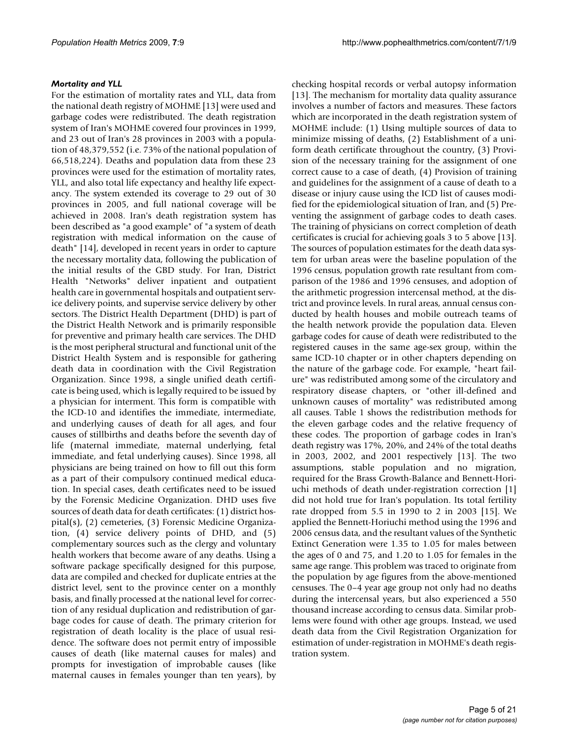#### *Mortality and YLL*

For the estimation of mortality rates and YLL, data from the national death registry of MOHME [13] were used and garbage codes were redistributed. The death registration system of Iran's MOHME covered four provinces in 1999, and 23 out of Iran's 28 provinces in 2003 with a population of 48,379,552 (i.e. 73% of the national population of 66,518,224). Deaths and population data from these 23 provinces were used for the estimation of mortality rates, YLL, and also total life expectancy and healthy life expectancy. The system extended its coverage to 29 out of 30 provinces in 2005, and full national coverage will be achieved in 2008. Iran's death registration system has been described as "a good example" of "a system of death registration with medical information on the cause of death" [14], developed in recent years in order to capture the necessary mortality data, following the publication of the initial results of the GBD study. For Iran, District Health "Networks" deliver inpatient and outpatient health care in governmental hospitals and outpatient service delivery points, and supervise service delivery by other sectors. The District Health Department (DHD) is part of the District Health Network and is primarily responsible for preventive and primary health care services. The DHD is the most peripheral structural and functional unit of the District Health System and is responsible for gathering death data in coordination with the Civil Registration Organization. Since 1998, a single unified death certificate is being used, which is legally required to be issued by a physician for interment. This form is compatible with the ICD-10 and identifies the immediate, intermediate, and underlying causes of death for all ages, and four causes of stillbirths and deaths before the seventh day of life (maternal immediate, maternal underlying, fetal immediate, and fetal underlying causes). Since 1998, all physicians are being trained on how to fill out this form as a part of their compulsory continued medical education. In special cases, death certificates need to be issued by the Forensic Medicine Organization. DHD uses five sources of death data for death certificates: (1) district hospital(s), (2) cemeteries, (3) Forensic Medicine Organization, (4) service delivery points of DHD, and (5) complementary sources such as the clergy and voluntary health workers that become aware of any deaths. Using a software package specifically designed for this purpose, data are compiled and checked for duplicate entries at the district level, sent to the province center on a monthly basis, and finally processed at the national level for correction of any residual duplication and redistribution of garbage codes for cause of death. The primary criterion for registration of death locality is the place of usual residence. The software does not permit entry of impossible causes of death (like maternal causes for males) and prompts for investigation of improbable causes (like maternal causes in females younger than ten years), by checking hospital records or verbal autopsy information [13]. The mechanism for mortality data quality assurance involves a number of factors and measures. These factors which are incorporated in the death registration system of MOHME include: (1) Using multiple sources of data to minimize missing of deaths, (2) Establishment of a uniform death certificate throughout the country, (3) Provision of the necessary training for the assignment of one correct cause to a case of death, (4) Provision of training and guidelines for the assignment of a cause of death to a disease or injury cause using the ICD list of causes modified for the epidemiological situation of Iran, and (5) Preventing the assignment of garbage codes to death cases. The training of physicians on correct completion of death certificates is crucial for achieving goals 3 to 5 above [13]. The sources of population estimates for the death data system for urban areas were the baseline population of the 1996 census, population growth rate resultant from comparison of the 1986 and 1996 censuses, and adoption of the arithmetic progression intercensal method, at the district and province levels. In rural areas, annual census conducted by health houses and mobile outreach teams of the health network provide the population data. Eleven garbage codes for cause of death were redistributed to the registered causes in the same age-sex group, within the same ICD-10 chapter or in other chapters depending on the nature of the garbage code. For example, "heart failure" was redistributed among some of the circulatory and respiratory disease chapters, or "other ill-defined and unknown causes of mortality" was redistributed among all causes. Table 1 shows the redistribution methods for the eleven garbage codes and the relative frequency of these codes. The proportion of garbage codes in Iran's death registry was 17%, 20%, and 24% of the total deaths in 2003, 2002, and 2001 respectively [13]. The two assumptions, stable population and no migration, required for the Brass Growth-Balance and Bennett-Horiuchi methods of death under-registration correction [1] did not hold true for Iran's population. Its total fertility rate dropped from 5.5 in 1990 to 2 in 2003 [15]. We applied the Bennett-Horiuchi method using the 1996 and 2006 census data, and the resultant values of the Synthetic Extinct Generation were 1.35 to 1.05 for males between the ages of 0 and 75, and 1.20 to 1.05 for females in the same age range. This problem was traced to originate from the population by age figures from the above-mentioned censuses. The 0–4 year age group not only had no deaths during the intercensal years, but also experienced a 550 thousand increase according to census data. Similar problems were found with other age groups. Instead, we used death data from the Civil Registration Organization for estimation of under-registration in MOHME's death registration system.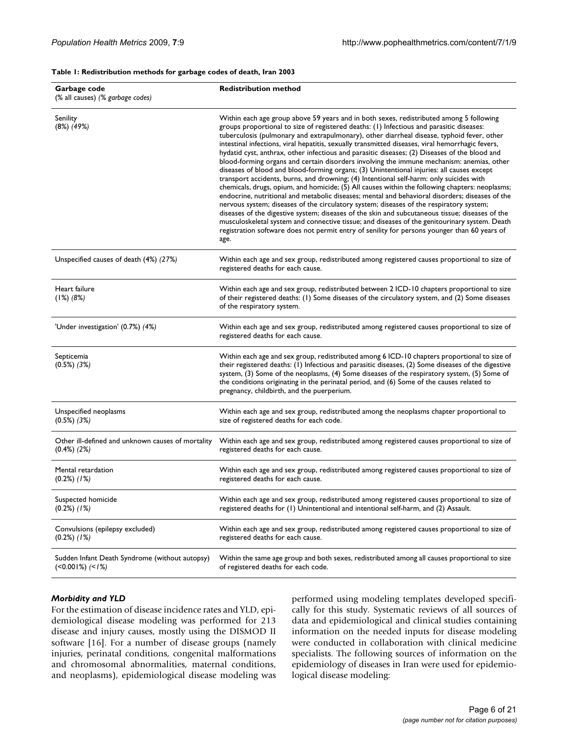#### **Table 1: Redistribution methods for garbage codes of death, Iran 2003**

| Garbage code<br>(% all causes) (% garbage codes)  | <b>Redistribution method</b>                                                                                                                                                                                                                                                                                                                                                                                                                                                                                                                                                                                                                                                                                                                                                                                                                                                                                                                                                                                                                                                                                                                                                                                                                                                                                                                                                             |
|---------------------------------------------------|------------------------------------------------------------------------------------------------------------------------------------------------------------------------------------------------------------------------------------------------------------------------------------------------------------------------------------------------------------------------------------------------------------------------------------------------------------------------------------------------------------------------------------------------------------------------------------------------------------------------------------------------------------------------------------------------------------------------------------------------------------------------------------------------------------------------------------------------------------------------------------------------------------------------------------------------------------------------------------------------------------------------------------------------------------------------------------------------------------------------------------------------------------------------------------------------------------------------------------------------------------------------------------------------------------------------------------------------------------------------------------------|
| Senility<br>(8%) (49%)                            | Within each age group above 59 years and in both sexes, redistributed among 5 following<br>groups proportional to size of registered deaths: (1) Infectious and parasitic diseases:<br>tuberculosis (pulmonary and extrapulmonary), other diarrheal disease, typhoid fever, other<br>intestinal infections, viral hepatitis, sexually transmitted diseases, viral hemorrhagic fevers,<br>hydatid cyst, anthrax, other infectious and parasitic diseases; (2) Diseases of the blood and<br>blood-forming organs and certain disorders involving the immune mechanism: anemias, other<br>diseases of blood and blood-forming organs; (3) Unintentional injuries: all causes except<br>transport accidents, burns, and drowning; (4) Intentional self-harm: only suicides with<br>chemicals, drugs, opium, and homicide; (5) All causes within the following chapters: neoplasms;<br>endocrine, nutritional and metabolic diseases; mental and behavioral disorders; diseases of the<br>nervous system; diseases of the circulatory system; diseases of the respiratory system;<br>diseases of the digestive system; diseases of the skin and subcutaneous tissue; diseases of the<br>musculoskeletal system and connective tissue; and diseases of the genitourinary system. Death<br>registration software does not permit entry of senility for persons younger than 60 years of<br>age. |
| Unspecified causes of death (4%) (27%)            | Within each age and sex group, redistributed among registered causes proportional to size of<br>registered deaths for each cause.                                                                                                                                                                                                                                                                                                                                                                                                                                                                                                                                                                                                                                                                                                                                                                                                                                                                                                                                                                                                                                                                                                                                                                                                                                                        |
| Heart failure<br>(1%) (8%)                        | Within each age and sex group, redistributed between 2 ICD-10 chapters proportional to size<br>of their registered deaths: (1) Some diseases of the circulatory system, and (2) Some diseases<br>of the respiratory system.                                                                                                                                                                                                                                                                                                                                                                                                                                                                                                                                                                                                                                                                                                                                                                                                                                                                                                                                                                                                                                                                                                                                                              |
| 'Under investigation' (0.7%) (4%)                 | Within each age and sex group, redistributed among registered causes proportional to size of<br>registered deaths for each cause.                                                                                                                                                                                                                                                                                                                                                                                                                                                                                                                                                                                                                                                                                                                                                                                                                                                                                                                                                                                                                                                                                                                                                                                                                                                        |
| Septicemia<br>$(0.5\%) (3\%)$                     | Within each age and sex group, redistributed among 6 ICD-10 chapters proportional to size of<br>their registered deaths: (1) Infectious and parasitic diseases, (2) Some diseases of the digestive<br>system, (3) Some of the neoplasms, (4) Some diseases of the respiratory system, (5) Some of<br>the conditions originating in the perinatal period, and (6) Some of the causes related to<br>pregnancy, childbirth, and the puerperium.                                                                                                                                                                                                                                                                                                                                                                                                                                                                                                                                                                                                                                                                                                                                                                                                                                                                                                                                             |
| Unspecified neoplasms                             | Within each age and sex group, redistributed among the neoplasms chapter proportional to                                                                                                                                                                                                                                                                                                                                                                                                                                                                                                                                                                                                                                                                                                                                                                                                                                                                                                                                                                                                                                                                                                                                                                                                                                                                                                 |
| $(0.5\%) (3\%)$                                   | size of registered deaths for each code.                                                                                                                                                                                                                                                                                                                                                                                                                                                                                                                                                                                                                                                                                                                                                                                                                                                                                                                                                                                                                                                                                                                                                                                                                                                                                                                                                 |
| Other ill-defined and unknown causes of mortality | Within each age and sex group, redistributed among registered causes proportional to size of                                                                                                                                                                                                                                                                                                                                                                                                                                                                                                                                                                                                                                                                                                                                                                                                                                                                                                                                                                                                                                                                                                                                                                                                                                                                                             |
| (0.4%) (2%)                                       | registered deaths for each cause.                                                                                                                                                                                                                                                                                                                                                                                                                                                                                                                                                                                                                                                                                                                                                                                                                                                                                                                                                                                                                                                                                                                                                                                                                                                                                                                                                        |
| Mental retardation                                | Within each age and sex group, redistributed among registered causes proportional to size of                                                                                                                                                                                                                                                                                                                                                                                                                                                                                                                                                                                                                                                                                                                                                                                                                                                                                                                                                                                                                                                                                                                                                                                                                                                                                             |
| $(0.2%)$ (1%)                                     | registered deaths for each cause.                                                                                                                                                                                                                                                                                                                                                                                                                                                                                                                                                                                                                                                                                                                                                                                                                                                                                                                                                                                                                                                                                                                                                                                                                                                                                                                                                        |
| Suspected homicide                                | Within each age and sex group, redistributed among registered causes proportional to size of                                                                                                                                                                                                                                                                                                                                                                                                                                                                                                                                                                                                                                                                                                                                                                                                                                                                                                                                                                                                                                                                                                                                                                                                                                                                                             |
| $(0.2%)$ (1%)                                     | registered deaths for (1) Unintentional and intentional self-harm, and (2) Assault.                                                                                                                                                                                                                                                                                                                                                                                                                                                                                                                                                                                                                                                                                                                                                                                                                                                                                                                                                                                                                                                                                                                                                                                                                                                                                                      |
| Convulsions (epilepsy excluded)                   | Within each age and sex group, redistributed among registered causes proportional to size of                                                                                                                                                                                                                                                                                                                                                                                                                                                                                                                                                                                                                                                                                                                                                                                                                                                                                                                                                                                                                                                                                                                                                                                                                                                                                             |
| $(0.2%)$ (1%)                                     | registered deaths for each cause.                                                                                                                                                                                                                                                                                                                                                                                                                                                                                                                                                                                                                                                                                                                                                                                                                                                                                                                                                                                                                                                                                                                                                                                                                                                                                                                                                        |
| Sudden Infant Death Syndrome (without autopsy)    | Within the same age group and both sexes, redistributed among all causes proportional to size                                                                                                                                                                                                                                                                                                                                                                                                                                                                                                                                                                                                                                                                                                                                                                                                                                                                                                                                                                                                                                                                                                                                                                                                                                                                                            |
| $($ < 0.00 l %) $($ < l %)                        | of registered deaths for each code.                                                                                                                                                                                                                                                                                                                                                                                                                                                                                                                                                                                                                                                                                                                                                                                                                                                                                                                                                                                                                                                                                                                                                                                                                                                                                                                                                      |

#### *Morbidity and YLD*

For the estimation of disease incidence rates and YLD, epidemiological disease modeling was performed for 213 disease and injury causes, mostly using the DISMOD II software [16]. For a number of disease groups (namely injuries, perinatal conditions, congenital malformations and chromosomal abnormalities, maternal conditions, and neoplasms), epidemiological disease modeling was performed using modeling templates developed specifically for this study. Systematic reviews of all sources of data and epidemiological and clinical studies containing information on the needed inputs for disease modeling were conducted in collaboration with clinical medicine specialists. The following sources of information on the epidemiology of diseases in Iran were used for epidemiological disease modeling: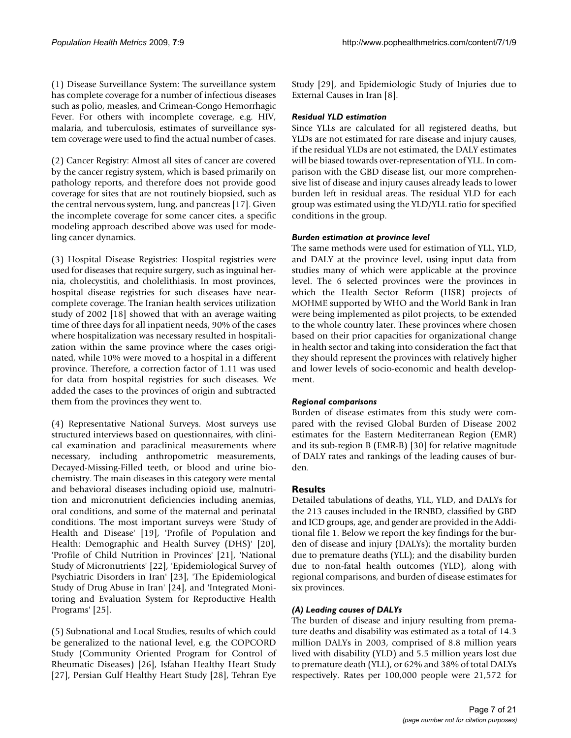(1) Disease Surveillance System: The surveillance system has complete coverage for a number of infectious diseases such as polio, measles, and Crimean-Congo Hemorrhagic Fever. For others with incomplete coverage, e.g. HIV, malaria, and tuberculosis, estimates of surveillance system coverage were used to find the actual number of cases.

(2) Cancer Registry: Almost all sites of cancer are covered by the cancer registry system, which is based primarily on pathology reports, and therefore does not provide good coverage for sites that are not routinely biopsied, such as the central nervous system, lung, and pancreas [17]. Given the incomplete coverage for some cancer cites, a specific modeling approach described above was used for modeling cancer dynamics.

(3) Hospital Disease Registries: Hospital registries were used for diseases that require surgery, such as inguinal hernia, cholecystitis, and cholelithiasis. In most provinces, hospital disease registries for such diseases have nearcomplete coverage. The Iranian health services utilization study of 2002 [18] showed that with an average waiting time of three days for all inpatient needs, 90% of the cases where hospitalization was necessary resulted in hospitalization within the same province where the cases originated, while 10% were moved to a hospital in a different province. Therefore, a correction factor of 1.11 was used for data from hospital registries for such diseases. We added the cases to the provinces of origin and subtracted them from the provinces they went to.

(4) Representative National Surveys. Most surveys use structured interviews based on questionnaires, with clinical examination and paraclinical measurements where necessary, including anthropometric measurements, Decayed-Missing-Filled teeth, or blood and urine biochemistry. The main diseases in this category were mental and behavioral diseases including opioid use, malnutrition and micronutrient deficiencies including anemias, oral conditions, and some of the maternal and perinatal conditions. The most important surveys were 'Study of Health and Disease' [19], 'Profile of Population and Health: Demographic and Health Survey (DHS)' [20], 'Profile of Child Nutrition in Provinces' [21], 'National Study of Micronutrients' [22], 'Epidemiological Survey of Psychiatric Disorders in Iran' [23], 'The Epidemiological Study of Drug Abuse in Iran' [24], and 'Integrated Monitoring and Evaluation System for Reproductive Health Programs' [25].

(5) Subnational and Local Studies, results of which could be generalized to the national level, e.g. the COPCORD Study (Community Oriented Program for Control of Rheumatic Diseases) [26], Isfahan Healthy Heart Study [27], Persian Gulf Healthy Heart Study [28], Tehran Eye Study [29], and Epidemiologic Study of Injuries due to External Causes in Iran [8].

#### *Residual YLD estimation*

Since YLLs are calculated for all registered deaths, but YLDs are not estimated for rare disease and injury causes, if the residual YLDs are not estimated, the DALY estimates will be biased towards over-representation of YLL. In comparison with the GBD disease list, our more comprehensive list of disease and injury causes already leads to lower burden left in residual areas. The residual YLD for each group was estimated using the YLD/YLL ratio for specified conditions in the group.

#### *Burden estimation at province level*

The same methods were used for estimation of YLL, YLD, and DALY at the province level, using input data from studies many of which were applicable at the province level. The 6 selected provinces were the provinces in which the Health Sector Reform (HSR) projects of MOHME supported by WHO and the World Bank in Iran were being implemented as pilot projects, to be extended to the whole country later. These provinces where chosen based on their prior capacities for organizational change in health sector and taking into consideration the fact that they should represent the provinces with relatively higher and lower levels of socio-economic and health development.

#### *Regional comparisons*

Burden of disease estimates from this study were compared with the revised Global Burden of Disease 2002 estimates for the Eastern Mediterranean Region (EMR) and its sub-region B (EMR-B) [30] for relative magnitude of DALY rates and rankings of the leading causes of burden.

#### **Results**

Detailed tabulations of deaths, YLL, YLD, and DALYs for the 213 causes included in the IRNBD, classified by GBD and ICD groups, age, and gender are provided in the Additional file 1. Below we report the key findings for the burden of disease and injury (DALYs); the mortality burden due to premature deaths (YLL); and the disability burden due to non-fatal health outcomes (YLD), along with regional comparisons, and burden of disease estimates for six provinces.

#### *(A) Leading causes of DALYs*

The burden of disease and injury resulting from premature deaths and disability was estimated as a total of 14.3 million DALYs in 2003, comprised of 8.8 million years lived with disability (YLD) and 5.5 million years lost due to premature death (YLL), or 62% and 38% of total DALYs respectively. Rates per 100,000 people were 21,572 for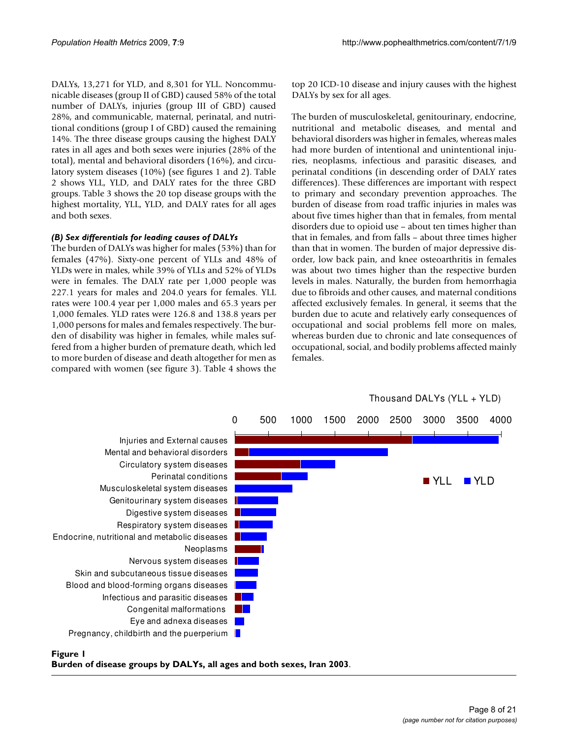DALYs, 13,271 for YLD, and 8,301 for YLL. Noncommunicable diseases (group II of GBD) caused 58% of the total number of DALYs, injuries (group III of GBD) caused 28%, and communicable, maternal, perinatal, and nutritional conditions (group I of GBD) caused the remaining 14%. The three disease groups causing the highest DALY rates in all ages and both sexes were injuries (28% of the total), mental and behavioral disorders (16%), and circulatory system diseases (10%) (see figures 1 and 2). Table 2 shows YLL, YLD, and DALY rates for the three GBD groups. Table 3 shows the 20 top disease groups with the highest mortality, YLL, YLD, and DALY rates for all ages and both sexes.

#### *(B) Sex differentials for leading causes of DALYs*

The burden of DALYs was higher for males (53%) than for females (47%). Sixty-one percent of YLLs and 48% of YLDs were in males, while 39% of YLLs and 52% of YLDs were in females. The DALY rate per 1,000 people was 227.1 years for males and 204.0 years for females. YLL rates were 100.4 year per 1,000 males and 65.3 years per 1,000 females. YLD rates were 126.8 and 138.8 years per 1,000 persons for males and females respectively. The burden of disability was higher in females, while males suffered from a higher burden of premature death, which led to more burden of disease and death altogether for men as compared with women (see figure 3). Table 4 shows the top 20 ICD-10 disease and injury causes with the highest DALYs by sex for all ages.

The burden of musculoskeletal, genitourinary, endocrine, nutritional and metabolic diseases, and mental and behavioral disorders was higher in females, whereas males had more burden of intentional and unintentional injuries, neoplasms, infectious and parasitic diseases, and perinatal conditions (in descending order of DALY rates differences). These differences are important with respect to primary and secondary prevention approaches. The burden of disease from road traffic injuries in males was about five times higher than that in females, from mental disorders due to opioid use – about ten times higher than that in females, and from falls – about three times higher than that in women. The burden of major depressive disorder, low back pain, and knee osteoarthritis in females was about two times higher than the respective burden levels in males. Naturally, the burden from hemorrhagia due to fibroids and other causes, and maternal conditions affected exclusively females. In general, it seems that the burden due to acute and relatively early consequences of occupational and social problems fell more on males, whereas burden due to chronic and late consequences of occupational, social, and bodily problems affected mainly females.





**Burden of disease groups by DALYs, all ages and both sexes, Iran 2003**.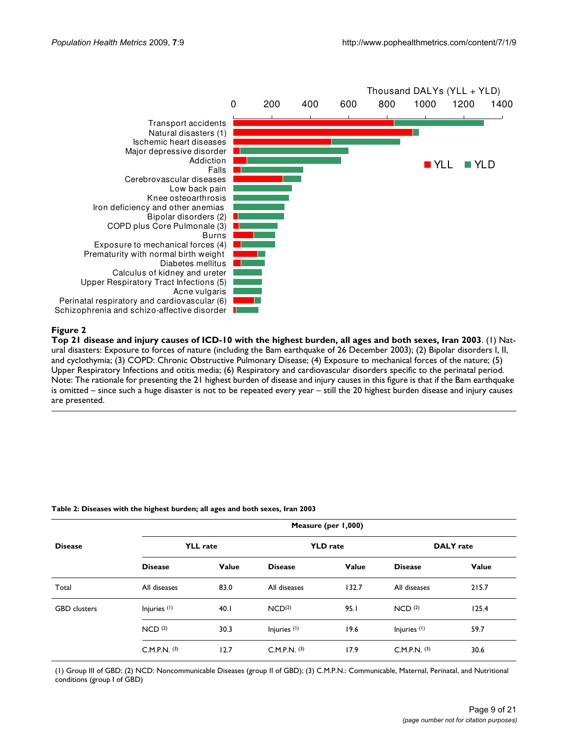

**Figure 2** Top 21 disease and injury causes of ICD-10 with the highest burden, all ages and both sexes, Iran 2003 **Top 21 disease and injury causes of ICD-10 with the highest burden, all ages and both sexes, Iran 2003**. (1) Natural disasters: Exposure to forces of nature (including the Bam earthquake of 26 December 2003); (2) Bipolar disorders I, II, and cyclothymia; (3) COPD: Chronic Obstructive Pulmonary Disease; (4) Exposure to mechanical forces of the nature; (5) Upper Respiratory Infections and otitis media; (6) Respiratory and cardiovascular disorders specific to the perinatal period. Note: The rationale for presenting the 21 highest burden of disease and injury causes in this figure is that if the Bam earthquake is omitted – since such a huge disaster is not to be repeated every year – still the 20 highest burden disease and injury causes are presented.

|                     | Measure (per 1,000)     |       |                    |                 |                  |       |  |  |
|---------------------|-------------------------|-------|--------------------|-----------------|------------------|-------|--|--|
| <b>Disease</b>      | <b>YLL</b> rate         |       |                    | <b>YLD</b> rate | <b>DALY</b> rate |       |  |  |
|                     | <b>Disease</b>          | Value | <b>Disease</b>     | Value           | <b>Disease</b>   | Value |  |  |
| Total               | All diseases            | 83.0  | All diseases       | 132.7           | All diseases     | 215.7 |  |  |
| <b>GBD</b> clusters | Injuries <sup>(1)</sup> | 40.1  | NCD <sup>(2)</sup> | 95.1            | $NCD$ $(2)$      | 125.4 |  |  |
|                     | $NCD$ $(2)$             | 30.3  | Injuries (1)       | 19.6            | Injuries $(1)$   | 59.7  |  |  |
|                     | $C.M.P.N.$ (3)          | 12.7  | $C.M.P.N.$ (3)     | 17.9            | $C.M.P.N.$ (3)   | 30.6  |  |  |

**Table 2: Diseases with the highest burden; all ages and both sexes, Iran 2003**

(1) Group III of GBD; (2) NCD: Noncommunicable Diseases (group II of GBD); (3) C.M.P.N.: Communicable, Maternal, Perinatal, and Nutritional conditions (group I of GBD)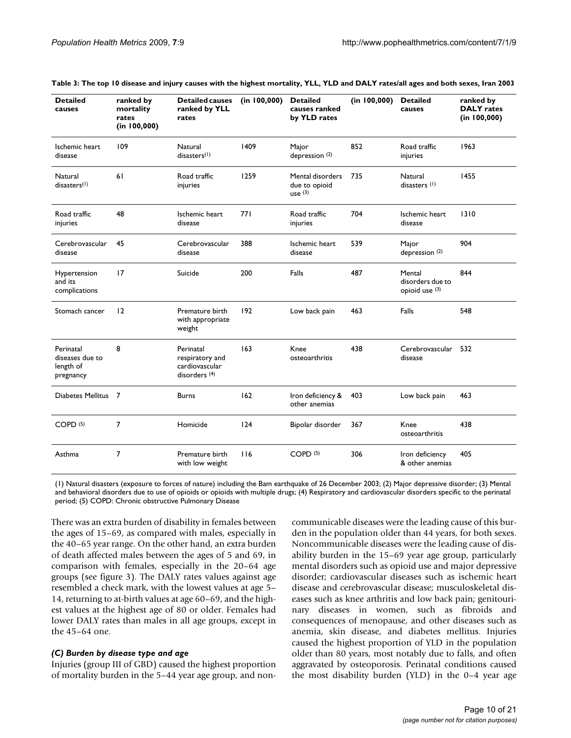| <b>Detailed</b><br>causes                              | ranked by<br>mortality<br>rates<br>(in 100,000) | <b>Detailed causes</b><br>ranked by YLL<br>rates                  | (in 100,000) | <b>Detailed</b><br>causes ranked<br>by YLD rates | (in 100,000) | <b>Detailed</b><br>causes                    | ranked by<br><b>DALY</b> rates<br>(in 100,000) |
|--------------------------------------------------------|-------------------------------------------------|-------------------------------------------------------------------|--------------|--------------------------------------------------|--------------|----------------------------------------------|------------------------------------------------|
| Ischemic heart<br>disease                              | 109                                             | Natural<br>disasters(1)                                           | 1409         | Major<br>depression $(2)$                        | 852          | Road traffic<br>injuries                     | 1963                                           |
| Natural<br>disasters(1)                                | 61                                              | Road traffic<br>injuries                                          | 1259         | Mental disorders<br>due to opioid<br>use $(3)$   | 735          | Natural<br>disasters <sup>(1)</sup>          | 1455                                           |
| Road traffic<br>injuries                               | 48                                              | Ischemic heart<br>disease                                         | 771          | Road traffic<br>injuries                         | 704          | Ischemic heart<br>disease                    | 1310                                           |
| Cerebrovascular<br>disease                             | 45                                              | Cerebrovascular<br>disease                                        | 388          | Ischemic heart<br>disease                        | 539          | Major<br>depression (2)                      | 904                                            |
| Hypertension<br>and its<br>complications               | 17                                              | Suicide                                                           | 200          | Falls                                            | 487          | Mental<br>disorders due to<br>opioid use (3) | 844                                            |
| Stomach cancer                                         | 12                                              | Premature birth<br>with appropriate<br>weight                     | 192          | Low back pain                                    | 463          | Falls                                        | 548                                            |
| Perinatal<br>diseases due to<br>length of<br>pregnancy | 8                                               | Perinatal<br>respiratory and<br>cardiovascular<br>disorders $(4)$ | 163          | Knee<br>osteoarthritis                           | 438          | Cerebrovascular<br>disease                   | - 532                                          |
| Diabetes Mellitus 7                                    |                                                 | <b>Burns</b>                                                      | 162          | Iron deficiency &<br>other anemias               | 403          | Low back pain                                | 463                                            |
| COPD <sub>(5)</sub>                                    | 7                                               | Homicide                                                          | 124          | Bipolar disorder                                 | 367          | Knee<br>osteoarthritis                       | 438                                            |
| Asthma                                                 | $\overline{7}$                                  | Premature birth<br>with low weight                                | 116          | COPD <sub>(5)</sub>                              | 306          | Iron deficiency<br>& other anemias           | 405                                            |

#### **Table 3: The top 10 disease and injury causes with the highest mortality, YLL, YLD and DALY rates/all ages and both sexes, Iran 2003**

(1) Natural disasters (exposure to forces of nature) including the Bam earthquake of 26 December 2003; (2) Major depressive disorder; (3) Mental and behavioral disorders due to use of opioids or opioids with multiple drugs; (4) Respiratory and cardiovascular disorders specific to the perinatal period; (5) COPD: Chronic obstructive Pulmonary Disease

There was an extra burden of disability in females between the ages of 15–69, as compared with males, especially in the 40–65 year range. On the other hand, an extra burden of death affected males between the ages of 5 and 69, in comparison with females, especially in the 20–64 age groups (see figure 3). The DALY rates values against age resembled a check mark, with the lowest values at age 5– 14, returning to at-birth values at age 60–69, and the highest values at the highest age of 80 or older. Females had lower DALY rates than males in all age groups, except in the 45–64 one.

#### *(C) Burden by disease type and age*

Injuries (group III of GBD) caused the highest proportion of mortality burden in the 5–44 year age group, and noncommunicable diseases were the leading cause of this burden in the population older than 44 years, for both sexes. Noncommunicable diseases were the leading cause of disability burden in the 15–69 year age group, particularly mental disorders such as opioid use and major depressive disorder; cardiovascular diseases such as ischemic heart disease and cerebrovascular disease; musculoskeletal diseases such as knee arthritis and low back pain; genitourinary diseases in women, such as fibroids and consequences of menopause, and other diseases such as anemia, skin disease, and diabetes mellitus. Injuries caused the highest proportion of YLD in the population older than 80 years, most notably due to falls, and often aggravated by osteoporosis. Perinatal conditions caused the most disability burden (YLD) in the 0–4 year age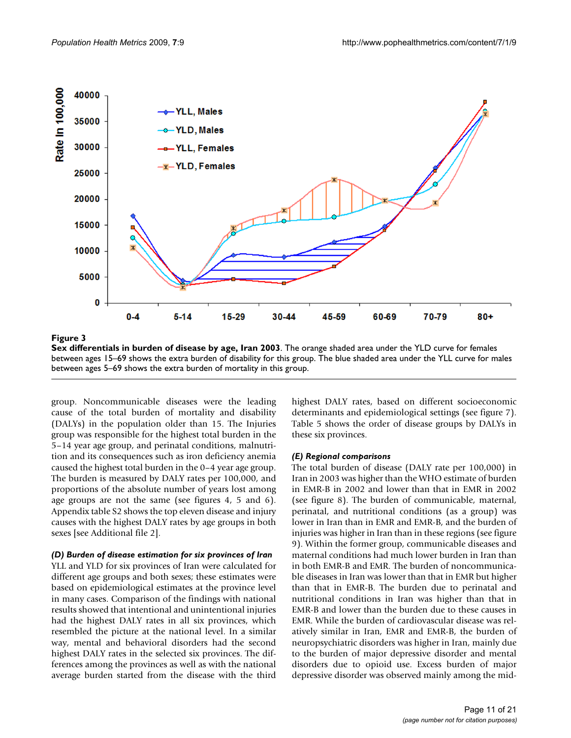

**Sex differentials in burden of disease by age, Iran 2003**. The orange shaded area under the YLD curve for females between ages 15–69 shows the extra burden of disability for this group. The blue shaded area under the YLL curve for males between ages 5–69 shows the extra burden of mortality in this group.

group. Noncommunicable diseases were the leading cause of the total burden of mortality and disability (DALYs) in the population older than 15. The Injuries group was responsible for the highest total burden in the 5–14 year age group, and perinatal conditions, malnutrition and its consequences such as iron deficiency anemia caused the highest total burden in the 0–4 year age group. The burden is measured by DALY rates per 100,000, and proportions of the absolute number of years lost among age groups are not the same (see figures 4, 5 and 6). Appendix table S2 shows the top eleven disease and injury causes with the highest DALY rates by age groups in both sexes [see Additional file 2].

#### *(D) Burden of disease estimation for six provinces of Iran*

YLL and YLD for six provinces of Iran were calculated for different age groups and both sexes; these estimates were based on epidemiological estimates at the province level in many cases. Comparison of the findings with national results showed that intentional and unintentional injuries had the highest DALY rates in all six provinces, which resembled the picture at the national level. In a similar way, mental and behavioral disorders had the second highest DALY rates in the selected six provinces. The differences among the provinces as well as with the national average burden started from the disease with the third

highest DALY rates, based on different socioeconomic determinants and epidemiological settings (see figure 7). Table 5 shows the order of disease groups by DALYs in these six provinces.

#### *(E) Regional comparisons*

The total burden of disease (DALY rate per 100,000) in Iran in 2003 was higher than the WHO estimate of burden in EMR-B in 2002 and lower than that in EMR in 2002 (see figure 8). The burden of communicable, maternal, perinatal, and nutritional conditions (as a group) was lower in Iran than in EMR and EMR-B, and the burden of injuries was higher in Iran than in these regions (see figure 9). Within the former group, communicable diseases and maternal conditions had much lower burden in Iran than in both EMR-B and EMR. The burden of noncommunicable diseases in Iran was lower than that in EMR but higher than that in EMR-B. The burden due to perinatal and nutritional conditions in Iran was higher than that in EMR-B and lower than the burden due to these causes in EMR. While the burden of cardiovascular disease was relatively similar in Iran, EMR and EMR-B, the burden of neuropsychiatric disorders was higher in Iran, mainly due to the burden of major depressive disorder and mental disorders due to opioid use. Excess burden of major depressive disorder was observed mainly among the mid-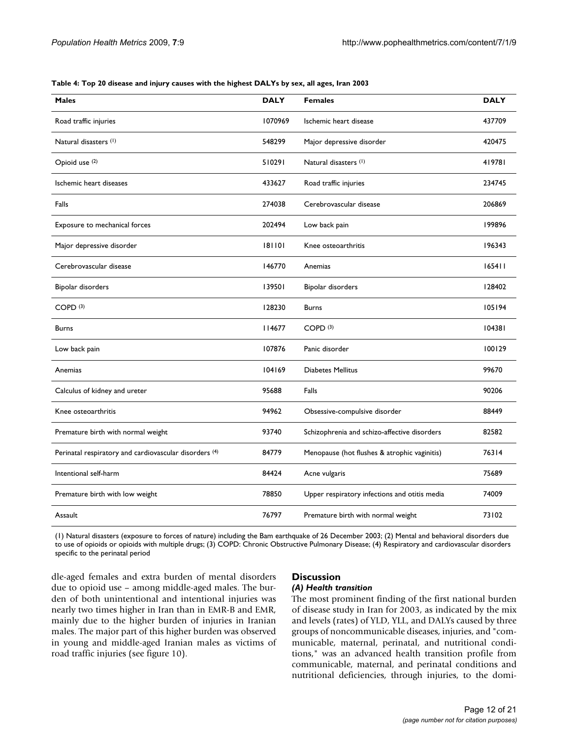| Table 4: Top 20 disease and injury causes with the highest DALYs by sex, all ages, Iran 2003 |  |  |  |
|----------------------------------------------------------------------------------------------|--|--|--|
|----------------------------------------------------------------------------------------------|--|--|--|

| <b>Males</b>                                           | <b>DALY</b> | <b>Females</b>                                | <b>DALY</b> |
|--------------------------------------------------------|-------------|-----------------------------------------------|-------------|
| Road traffic injuries                                  | 1070969     | Ischemic heart disease                        | 437709      |
| Natural disasters (1)                                  | 548299      | Major depressive disorder                     | 420475      |
| Opioid use (2)                                         | 510291      | Natural disasters (1)                         | 419781      |
| Ischemic heart diseases                                | 433627      | Road traffic injuries                         | 234745      |
| Falls                                                  | 274038      | Cerebrovascular disease                       | 206869      |
| Exposure to mechanical forces                          | 202494      | Low back pain                                 | 199896      |
| Major depressive disorder                              | 181101      | Knee osteoarthritis                           | 196343      |
| Cerebrovascular disease                                | 146770      | Anemias                                       | 165411      |
| Bipolar disorders                                      | 139501      | Bipolar disorders                             | 128402      |
| COPD <sup>(3)</sup>                                    | 128230      | <b>Burns</b>                                  | 105194      |
| <b>Burns</b>                                           | 4677        | COPD <sup>(3)</sup>                           | 104381      |
| Low back pain                                          | 107876      | Panic disorder                                | 100129      |
| Anemias                                                | 104169      | <b>Diabetes Mellitus</b>                      | 99670       |
| Calculus of kidney and ureter                          | 95688       | Falls                                         | 90206       |
| Knee osteoarthritis                                    | 94962       | Obsessive-compulsive disorder                 | 88449       |
| Premature birth with normal weight                     | 93740       | Schizophrenia and schizo-affective disorders  | 82582       |
| Perinatal respiratory and cardiovascular disorders (4) | 84779       | Menopause (hot flushes & atrophic vaginitis)  | 76314       |
| Intentional self-harm                                  | 84424       | Acne vulgaris                                 | 75689       |
| Premature birth with low weight                        | 78850       | Upper respiratory infections and otitis media | 74009       |
| Assault                                                | 76797       | Premature birth with normal weight            | 73102       |

(1) Natural disasters (exposure to forces of nature) including the Bam earthquake of 26 December 2003; (2) Mental and behavioral disorders due to use of opioids or opioids with multiple drugs; (3) COPD: Chronic Obstructive Pulmonary Disease; (4) Respiratory and cardiovascular disorders specific to the perinatal period

dle-aged females and extra burden of mental disorders due to opioid use – among middle-aged males. The burden of both unintentional and intentional injuries was nearly two times higher in Iran than in EMR-B and EMR, mainly due to the higher burden of injuries in Iranian males. The major part of this higher burden was observed in young and middle-aged Iranian males as victims of road traffic injuries (see figure 10).

#### **Discussion**

#### *(A) Health transition*

The most prominent finding of the first national burden of disease study in Iran for 2003, as indicated by the mix and levels (rates) of YLD, YLL, and DALYs caused by three groups of noncommunicable diseases, injuries, and "communicable, maternal, perinatal, and nutritional conditions," was an advanced health transition profile from communicable, maternal, and perinatal conditions and nutritional deficiencies, through injuries, to the domi-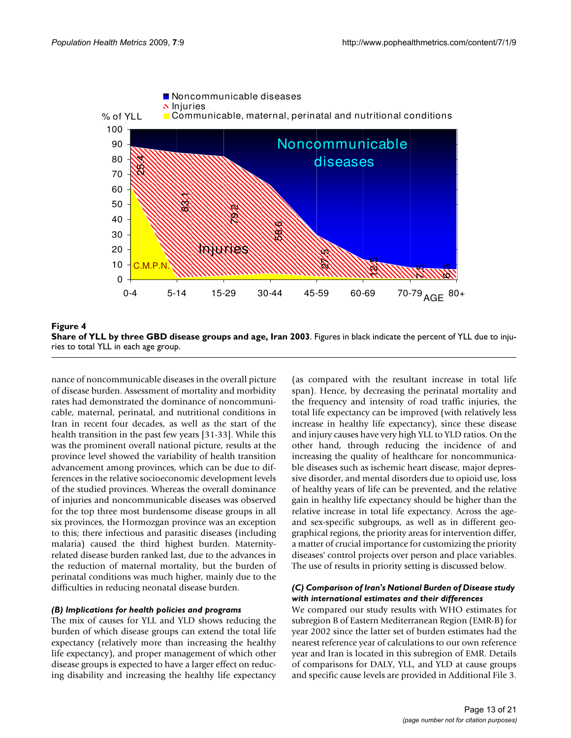



nance of noncommunicable diseases in the overall picture of disease burden. Assessment of mortality and morbidity rates had demonstrated the dominance of noncommunicable, maternal, perinatal, and nutritional conditions in Iran in recent four decades, as well as the start of the health transition in the past few years [31-33]. While this was the prominent overall national picture, results at the province level showed the variability of health transition advancement among provinces, which can be due to differences in the relative socioeconomic development levels of the studied provinces. Whereas the overall dominance of injuries and noncommunicable diseases was observed for the top three most burdensome disease groups in all six provinces, the Hormozgan province was an exception to this; there infectious and parasitic diseases (including malaria) caused the third highest burden. Maternityrelated disease burden ranked last, due to the advances in the reduction of maternal mortality, but the burden of perinatal conditions was much higher, mainly due to the difficulties in reducing neonatal disease burden.

#### *(B) Implications for health policies and programs*

The mix of causes for YLL and YLD shows reducing the burden of which disease groups can extend the total life expectancy (relatively more than increasing the healthy life expectancy), and proper management of which other disease groups is expected to have a larger effect on reducing disability and increasing the healthy life expectancy (as compared with the resultant increase in total life span). Hence, by decreasing the perinatal mortality and the frequency and intensity of road traffic injuries, the total life expectancy can be improved (with relatively less increase in healthy life expectancy), since these disease and injury causes have very high YLL to YLD ratios. On the other hand, through reducing the incidence of and increasing the quality of healthcare for noncommunicable diseases such as ischemic heart disease, major depressive disorder, and mental disorders due to opioid use, loss of healthy years of life can be prevented, and the relative gain in healthy life expectancy should be higher than the relative increase in total life expectancy. Across the ageand sex-specific subgroups, as well as in different geographical regions, the priority areas for intervention differ, a matter of crucial importance for customizing the priority diseases' control projects over person and place variables. The use of results in priority setting is discussed below.

#### *(C) Comparison of Iran's National Burden of Disease study with international estimates and their differences*

We compared our study results with WHO estimates for subregion B of Eastern Mediterranean Region (EMR-B) for year 2002 since the latter set of burden estimates had the nearest reference year of calculations to our own reference year and Iran is located in this subregion of EMR. Details of comparisons for DALY, YLL, and YLD at cause groups and specific cause levels are provided in Additional File 3.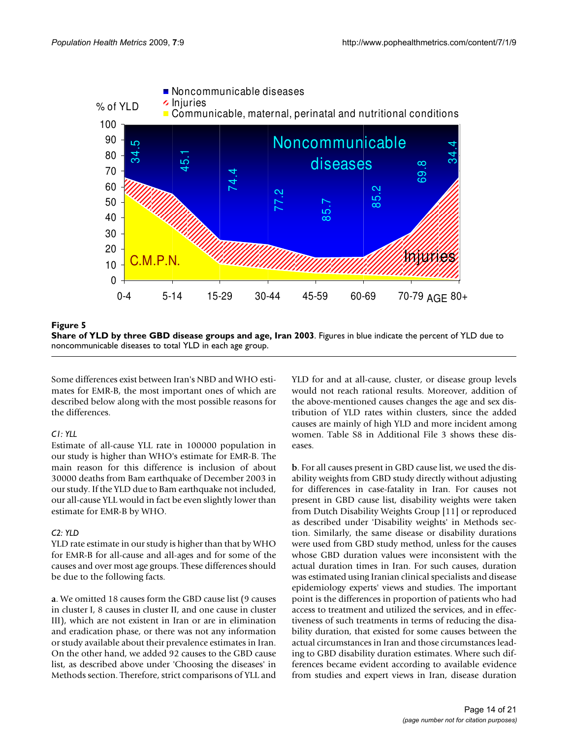

**Figure 5 Share of YLD by three GBD disease groups and age, Iran 2003**. Figures in blue indicate the percent of YLD due to noncommunicable diseases to total YLD in each age group.

Some differences exist between Iran's NBD and WHO estimates for EMR-B, the most important ones of which are described below along with the most possible reasons for the differences.

#### *C1: YLL*

Estimate of all-cause YLL rate in 100000 population in our study is higher than WHO's estimate for EMR-B. The main reason for this difference is inclusion of about 30000 deaths from Bam earthquake of December 2003 in our study. If the YLD due to Bam earthquake not included, our all-cause YLL would in fact be even slightly lower than estimate for EMR-B by WHO.

#### *C2: YLD*

YLD rate estimate in our study is higher than that by WHO for EMR-B for all-cause and all-ages and for some of the causes and over most age groups. These differences should be due to the following facts.

**a**. We omitted 18 causes form the GBD cause list (9 causes in cluster I, 8 causes in cluster II, and one cause in cluster III), which are not existent in Iran or are in elimination and eradication phase, or there was not any information or study available about their prevalence estimates in Iran. On the other hand, we added 92 causes to the GBD cause list, as described above under 'Choosing the diseases' in Methods section. Therefore, strict comparisons of YLL and

YLD for and at all-cause, cluster, or disease group levels would not reach rational results. Moreover, addition of the above-mentioned causes changes the age and sex distribution of YLD rates within clusters, since the added causes are mainly of high YLD and more incident among women. Table S8 in Additional File 3 shows these diseases.

**b**. For all causes present in GBD cause list, we used the disability weights from GBD study directly without adjusting for differences in case-fatality in Iran. For causes not present in GBD cause list, disability weights were taken from Dutch Disability Weights Group [11] or reproduced as described under 'Disability weights' in Methods section. Similarly, the same disease or disability durations were used from GBD study method, unless for the causes whose GBD duration values were inconsistent with the actual duration times in Iran. For such causes, duration was estimated using Iranian clinical specialists and disease epidemiology experts' views and studies. The important point is the differences in proportion of patients who had access to treatment and utilized the services, and in effectiveness of such treatments in terms of reducing the disability duration, that existed for some causes between the actual circumstances in Iran and those circumstances leading to GBD disability duration estimates. Where such differences became evident according to available evidence from studies and expert views in Iran, disease duration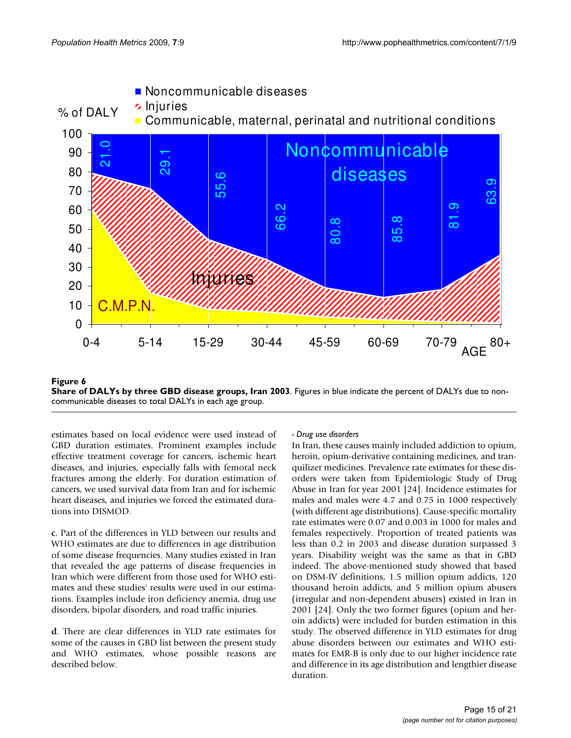

**Figure 6 Share of DALYs by three GBD disease groups, Iran 2003**. Figures in blue indicate the percent of DALYs due to noncommunicable diseases to total DALYs in each age group.

estimates based on local evidence were used instead of GBD duration estimates. Prominent examples include effective treatment coverage for cancers, ischemic heart diseases, and injuries, especially falls with femoral neck fractures among the elderly. For duration estimation of cancers, we used survival data from Iran and for ischemic heart diseases, and injuries we forced the estimated durations into DISMOD.

**c**. Part of the differences in YLD between our results and WHO estimates are due to differences in age distribution of some disease frequencies. Many studies existed in Iran that revealed the age patterns of disease frequencies in Iran which were different from those used for WHO estimates and these studies' results were used in our estimations. Examples include iron deficiency anemia, drug use disorders, bipolar disorders, and road traffic injuries.

**d**. There are clear differences in YLD rate estimates for some of the causes in GBD list between the present study and WHO estimates, whose possible reasons are described below.

#### *- Drug use disorders*

In Iran, these causes mainly included addiction to opium, heroin, opium-derivative containing medicines, and tranquilizer medicines. Prevalence rate estimates for these disorders were taken from Epidemiologic Study of Drug Abuse in Iran for year 2001 [24]. Incidence estimates for males and males were 4.7 and 0.75 in 1000 respectively (with different age distributions). Cause-specific mortality rate estimates were 0.07 and 0.003 in 1000 for males and females respectively. Proportion of treated patients was less than 0.2 in 2003 and disease duration surpassed 3 years. Disability weight was the same as that in GBD indeed. The above-mentioned study showed that based on DSM-IV definitions, 1.5 million opium addicts, 120 thousand heroin addicts, and 5 million opium abusers (irregular and non-dependent abusers) existed in Iran in 2001 [24]. Only the two former figures (opium and heroin addicts) were included for burden estimation in this study. The observed difference in YLD estimates for drug abuse disorders between our estimates and WHO estimates for EMR-B is only due to our higher incidence rate and difference in its age distribution and lengthier disease duration.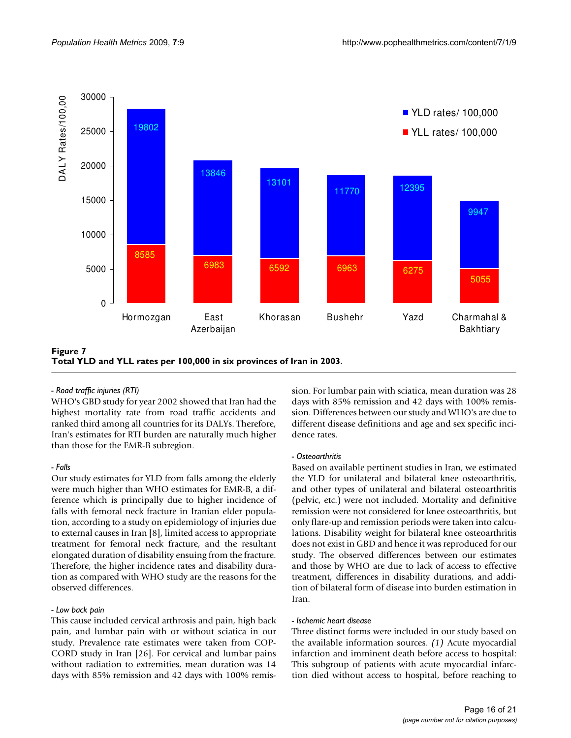

**Figure 7 Total YLD and YLL rates per 100,000 in six provinces of Iran in 2003**.

#### *- Road traffic injuries (RTI)*

WHO's GBD study for year 2002 showed that Iran had the highest mortality rate from road traffic accidents and ranked third among all countries for its DALYs. Therefore, Iran's estimates for RTI burden are naturally much higher than those for the EMR-B subregion.

#### *- Falls*

Our study estimates for YLD from falls among the elderly were much higher than WHO estimates for EMR-B, a difference which is principally due to higher incidence of falls with femoral neck fracture in Iranian elder population, according to a study on epidemiology of injuries due to external causes in Iran [8], limited access to appropriate treatment for femoral neck fracture, and the resultant elongated duration of disability ensuing from the fracture. Therefore, the higher incidence rates and disability duration as compared with WHO study are the reasons for the observed differences.

#### *- Low back pain*

This cause included cervical arthrosis and pain, high back pain, and lumbar pain with or without sciatica in our study. Prevalence rate estimates were taken from COP-CORD study in Iran [26]. For cervical and lumbar pains without radiation to extremities, mean duration was 14 days with 85% remission and 42 days with 100% remission. For lumbar pain with sciatica, mean duration was 28 days with 85% remission and 42 days with 100% remission. Differences between our study and WHO's are due to different disease definitions and age and sex specific incidence rates.

#### *- Osteoarthritis*

Based on available pertinent studies in Iran, we estimated the YLD for unilateral and bilateral knee osteoarthritis, and other types of unilateral and bilateral osteoarthritis (pelvic, etc.) were not included. Mortality and definitive remission were not considered for knee osteoarthritis, but only flare-up and remission periods were taken into calculations. Disability weight for bilateral knee osteoarthritis does not exist in GBD and hence it was reproduced for our study. The observed differences between our estimates and those by WHO are due to lack of access to effective treatment, differences in disability durations, and addition of bilateral form of disease into burden estimation in Iran.

#### *- Ischemic heart disease*

Three distinct forms were included in our study based on the available information sources. *(1)* Acute myocardial infarction and imminent death before access to hospital: This subgroup of patients with acute myocardial infarction died without access to hospital, before reaching to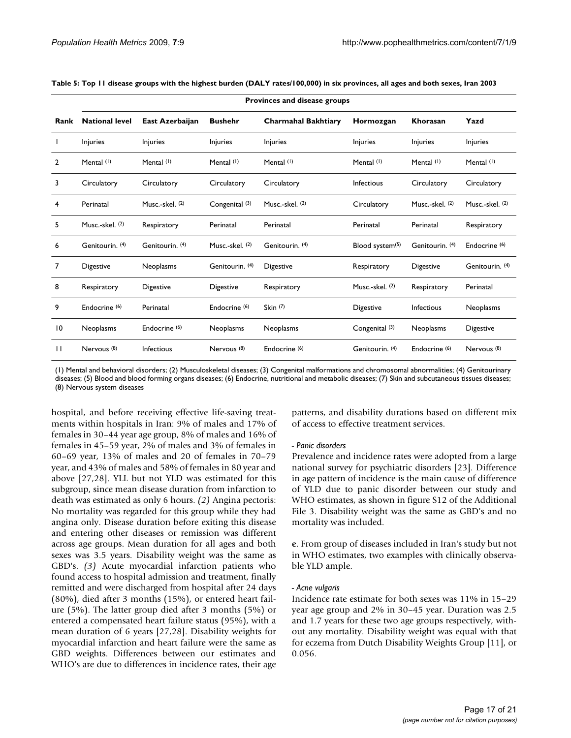|                 | Provinces and disease groups |                  |                          |                            |                             |                          |                        |  |
|-----------------|------------------------------|------------------|--------------------------|----------------------------|-----------------------------|--------------------------|------------------------|--|
| Rank            | <b>National level</b>        | East Azerbaijan  | <b>Bushehr</b>           | <b>Charmahal Bakhtiary</b> | Hormozgan                   | Khorasan                 | Yazd                   |  |
|                 | <b>Injuries</b>              | Injuries         | Injuries                 | Injuries                   | Injuries                    | Injuries                 | Injuries               |  |
| $\mathbf{2}$    | Mental (1)                   | Mental (1)       | Mental (I)               | Mental (1)                 | Mental (1)                  | Mental (1)               | Mental (1)             |  |
| 3               | Circulatory                  | Circulatory      | Circulatory              | Circulatory                | Infectious                  | Circulatory              | Circulatory            |  |
| 4               | Perinatal                    | Musc.-skel. (2)  | Congenital $(3)$         | Musc.-skel. (2)            | Circulatory                 | Musc.-skel. $(2)$        | Musc.-skel. (2)        |  |
| 5               | Musc.-skel. (2)              | Respiratory      | Perinatal                | Perinatal                  | Perinatal                   | Perinatal                | Respiratory            |  |
| 6               | Genitourin. (4)              | Genitourin. (4)  | Musc.-skel. $(2)$        | Genitourin. (4)            | Blood system <sup>(5)</sup> | Genitourin. (4)          | Endocrine $(6)$        |  |
| 7               | <b>Digestive</b>             | Neoplasms        | Genitourin. (4)          | Digestive                  | Respiratory                 | <b>Digestive</b>         | Genitourin. (4)        |  |
| 8               | Respiratory                  | <b>Digestive</b> | <b>Digestive</b>         | Respiratory                | Musc.-skel. (2)             | Respiratory              | Perinatal              |  |
| 9               | Endocrine <sup>(6)</sup>     | Perinatal        | Endocrine <sup>(6)</sup> | Skin $(7)$                 | <b>Digestive</b>            | Infectious               | Neoplasms              |  |
| $\overline{10}$ | Neoplasms                    | Endocrine (6)    | Neoplasms                | Neoplasms                  | Congenital <sup>(3)</sup>   | Neoplasms                | Digestive              |  |
| $\mathbf{H}$    | Nervous <sup>(8)</sup>       | Infectious       | Nervous <sup>(8)</sup>   | Endocrine $(6)$            | Genitourin. (4)             | Endocrine <sup>(6)</sup> | Nervous <sup>(8)</sup> |  |

**Table 5: Top 11 disease groups with the highest burden (DALY rates/100,000) in six provinces, all ages and both sexes, Iran 2003**

(1) Mental and behavioral disorders; (2) Musculoskeletal diseases; (3) Congenital malformations and chromosomal abnormalities; (4) Genitourinary diseases; (5) Blood and blood forming organs diseases; (6) Endocrine, nutritional and metabolic diseases; (7) Skin and subcutaneous tissues diseases; (8) Nervous system diseases

hospital, and before receiving effective life-saving treatments within hospitals in Iran: 9% of males and 17% of females in 30–44 year age group, 8% of males and 16% of females in 45–59 year, 2% of males and 3% of females in 60–69 year, 13% of males and 20 of females in 70–79 year, and 43% of males and 58% of females in 80 year and above [27,28]. YLL but not YLD was estimated for this subgroup, since mean disease duration from infarction to death was estimated as only 6 hours. *(2)* Angina pectoris: No mortality was regarded for this group while they had angina only. Disease duration before exiting this disease and entering other diseases or remission was different across age groups. Mean duration for all ages and both sexes was 3.5 years. Disability weight was the same as GBD's. *(3)* Acute myocardial infarction patients who found access to hospital admission and treatment, finally remitted and were discharged from hospital after 24 days (80%), died after 3 months (15%), or entered heart failure (5%). The latter group died after 3 months (5%) or entered a compensated heart failure status (95%), with a mean duration of 6 years [27,28]. Disability weights for myocardial infarction and heart failure were the same as GBD weights. Differences between our estimates and WHO's are due to differences in incidence rates, their age patterns, and disability durations based on different mix of access to effective treatment services.

#### *- Panic disorders*

Prevalence and incidence rates were adopted from a large national survey for psychiatric disorders [23]. Difference in age pattern of incidence is the main cause of difference of YLD due to panic disorder between our study and WHO estimates, as shown in figure S12 of the Additional File 3. Disability weight was the same as GBD's and no mortality was included.

**e**. From group of diseases included in Iran's study but not in WHO estimates, two examples with clinically observable YLD ample.

#### *- Acne vulgaris*

Incidence rate estimate for both sexes was 11% in 15–29 year age group and 2% in 30–45 year. Duration was 2.5 and 1.7 years for these two age groups respectively, without any mortality. Disability weight was equal with that for eczema from Dutch Disability Weights Group [11], or 0.056.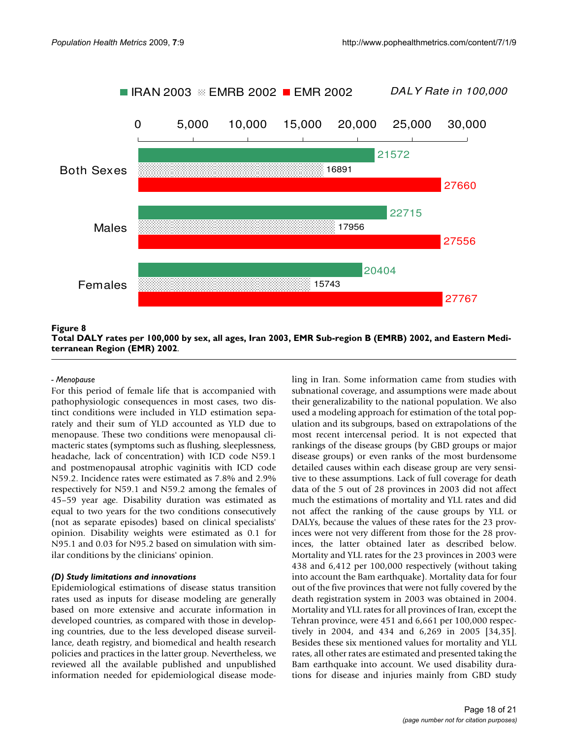

**Total DALY rates per 100,000 by sex, all ages, Iran 2003, EMR Sub-region B (EMRB) 2002, and Eastern Mediterranean Region (EMR) 2002**.

#### *- Menopause*

For this period of female life that is accompanied with pathophysiologic consequences in most cases, two distinct conditions were included in YLD estimation separately and their sum of YLD accounted as YLD due to menopause. These two conditions were menopausal climacteric states (symptoms such as flushing, sleeplessness, headache, lack of concentration) with ICD code N59.1 and postmenopausal atrophic vaginitis with ICD code N59.2. Incidence rates were estimated as 7.8% and 2.9% respectively for N59.1 and N59.2 among the females of 45–59 year age. Disability duration was estimated as equal to two years for the two conditions consecutively (not as separate episodes) based on clinical specialists' opinion. Disability weights were estimated as 0.1 for N95.1 and 0.03 for N95.2 based on simulation with similar conditions by the clinicians' opinion.

#### *(D) Study limitations and innovations*

Epidemiological estimations of disease status transition rates used as inputs for disease modeling are generally based on more extensive and accurate information in developed countries, as compared with those in developing countries, due to the less developed disease surveillance, death registry, and biomedical and health research policies and practices in the latter group. Nevertheless, we reviewed all the available published and unpublished information needed for epidemiological disease modeling in Iran. Some information came from studies with subnational coverage, and assumptions were made about their generalizability to the national population. We also used a modeling approach for estimation of the total population and its subgroups, based on extrapolations of the most recent intercensal period. It is not expected that rankings of the disease groups (by GBD groups or major disease groups) or even ranks of the most burdensome detailed causes within each disease group are very sensitive to these assumptions. Lack of full coverage for death data of the 5 out of 28 provinces in 2003 did not affect much the estimations of mortality and YLL rates and did not affect the ranking of the cause groups by YLL or DALYs, because the values of these rates for the 23 provinces were not very different from those for the 28 provinces, the latter obtained later as described below. Mortality and YLL rates for the 23 provinces in 2003 were 438 and 6,412 per 100,000 respectively (without taking into account the Bam earthquake). Mortality data for four out of the five provinces that were not fully covered by the death registration system in 2003 was obtained in 2004. Mortality and YLL rates for all provinces of Iran, except the Tehran province, were 451 and 6,661 per 100,000 respectively in 2004, and 434 and 6,269 in 2005 [34,35]. Besides these six mentioned values for mortality and YLL rates, all other rates are estimated and presented taking the Bam earthquake into account. We used disability durations for disease and injuries mainly from GBD study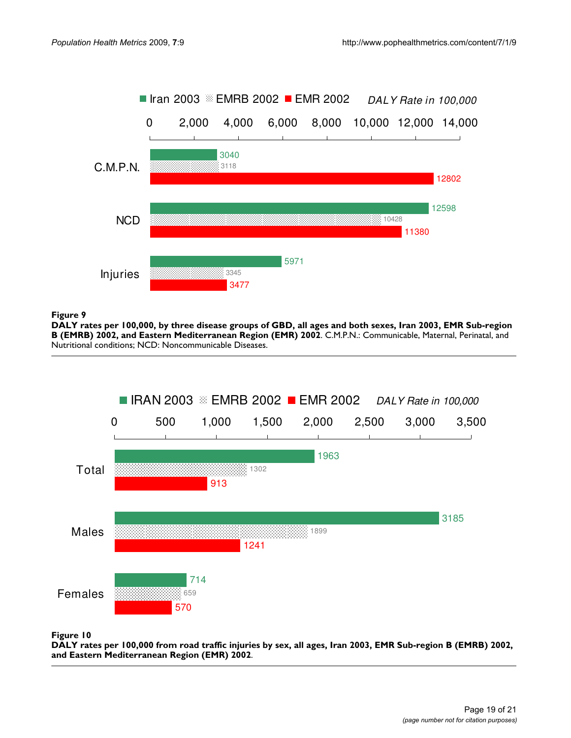

#### and Eastern Mediterranean Region (EMR) 2002 **Figure 9** DALY rates per 100,000, by three disease groups of GBD, all ages and both sexes, Iran 2003, EMR Sub-region B (EMRB) 2002,

**DALY rates per 100,000, by three disease groups of GBD, all ages and both sexes, Iran 2003, EMR Sub-region B (EMRB) 2002, and Eastern Mediterranean Region (EMR) 2002**. C.M.P.N.: Communicable, Maternal, Perinatal, and Nutritional conditions; NCD: Noncommunicable Diseases.



DALY rates per 100,000 from road traffic injuries by sex, all iterranean Region (EMR) 2002 **Figure 10** ages, Iran 2003, EMR Sub-region B (EMRB) 2002, and Eastern Med-**DALY rates per 100,000 from road traffic injuries by sex, all ages, Iran 2003, EMR Sub-region B (EMRB) 2002, and Eastern Mediterranean Region (EMR) 2002**.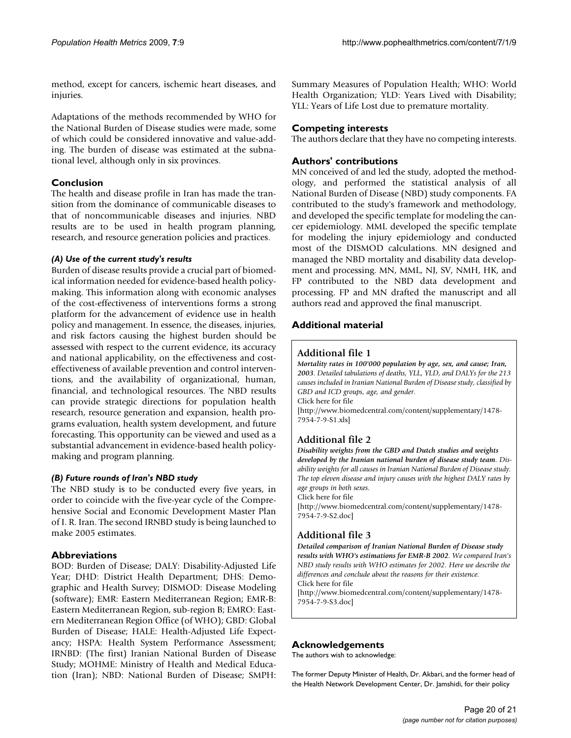method, except for cancers, ischemic heart diseases, and injuries.

Adaptations of the methods recommended by WHO for the National Burden of Disease studies were made, some of which could be considered innovative and value-adding. The burden of disease was estimated at the subnational level, although only in six provinces.

#### **Conclusion**

The health and disease profile in Iran has made the transition from the dominance of communicable diseases to that of noncommunicable diseases and injuries. NBD results are to be used in health program planning, research, and resource generation policies and practices.

#### *(A) Use of the current study's results*

Burden of disease results provide a crucial part of biomedical information needed for evidence-based health policymaking. This information along with economic analyses of the cost-effectiveness of interventions forms a strong platform for the advancement of evidence use in health policy and management. In essence, the diseases, injuries, and risk factors causing the highest burden should be assessed with respect to the current evidence, its accuracy and national applicability, on the effectiveness and costeffectiveness of available prevention and control interventions, and the availability of organizational, human, financial, and technological resources. The NBD results can provide strategic directions for population health research, resource generation and expansion, health programs evaluation, health system development, and future forecasting. This opportunity can be viewed and used as a substantial advancement in evidence-based health policymaking and program planning.

#### *(B) Future rounds of Iran's NBD study*

The NBD study is to be conducted every five years, in order to coincide with the five-year cycle of the Comprehensive Social and Economic Development Master Plan of I. R. Iran. The second IRNBD study is being launched to make 2005 estimates.

#### **Abbreviations**

BOD: Burden of Disease; DALY: Disability-Adjusted Life Year; DHD: District Health Department; DHS: Demographic and Health Survey; DISMOD: Disease Modeling (software); EMR: Eastern Mediterranean Region; EMR-B: Eastern Mediterranean Region, sub-region B; EMRO: Eastern Mediterranean Region Office (of WHO); GBD: Global Burden of Disease; HALE: Health-Adjusted Life Expectancy; HSPA: Health System Performance Assessment; IRNBD: (The first) Iranian National Burden of Disease Study; MOHME: Ministry of Health and Medical Education (Iran); NBD: National Burden of Disease; SMPH: Summary Measures of Population Health; WHO: World Health Organization; YLD: Years Lived with Disability; YLL: Years of Life Lost due to premature mortality.

#### **Competing interests**

The authors declare that they have no competing interests.

#### **Authors' contributions**

MN conceived of and led the study, adopted the methodology, and performed the statistical analysis of all National Burden of Disease (NBD) study components. FA contributed to the study's framework and methodology, and developed the specific template for modeling the cancer epidemiology. MML developed the specific template for modeling the injury epidemiology and conducted most of the DISMOD calculations. MN designed and managed the NBD mortality and disability data development and processing. MN, MML, NJ, SV, NMH, HK, and FP contributed to the NBD data development and processing. FP and MN drafted the manuscript and all authors read and approved the final manuscript.

#### **Additional material**

#### **Additional file 1**

*Mortality rates in 100'000 population by age, sex, and cause; Iran, 2003. Detailed tabulations of deaths, YLL, YLD, and DALYs for the 213 causes included in Iranian National Burden of Disease study, classified by GBD and ICD groups, age, and gender.* Click here for file [\[http://www.biomedcentral.com/content/supplementary/1478-](http://www.biomedcentral.com/content/supplementary/1478-7954-7-9-S1.xls)

#### **Additional file 2**

7954-7-9-S1.xls]

*Disability weights from the GBD and Dutch studies and weights developed by the Iranian national burden of disease study team. Disability weights for all causes in Iranian National Burden of Disease study. The top eleven disease and injury causes with the highest DALY rates by age groups in both sexes.* Click here for file

[\[http://www.biomedcentral.com/content/supplementary/1478-](http://www.biomedcentral.com/content/supplementary/1478-7954-7-9-S2.doc) 7954-7-9-S2.doc]

#### **Additional file 3**

*Detailed comparison of Iranian National Burden of Disease study results with WHO's estimations for EMR-B 2002. We compared Iran's NBD study results with WHO estimates for 2002. Here we describe the differences and conclude about the reasons for their existence.* Click here for file [\[http://www.biomedcentral.com/content/supplementary/1478-](http://www.biomedcentral.com/content/supplementary/1478-7954-7-9-S3.doc) 7954-7-9-S3.doc]

#### **Acknowledgements**

The authors wish to acknowledge:

The former Deputy Minister of Health, Dr. Akbari, and the former head of the Health Network Development Center, Dr. Jamshidi, for their policy